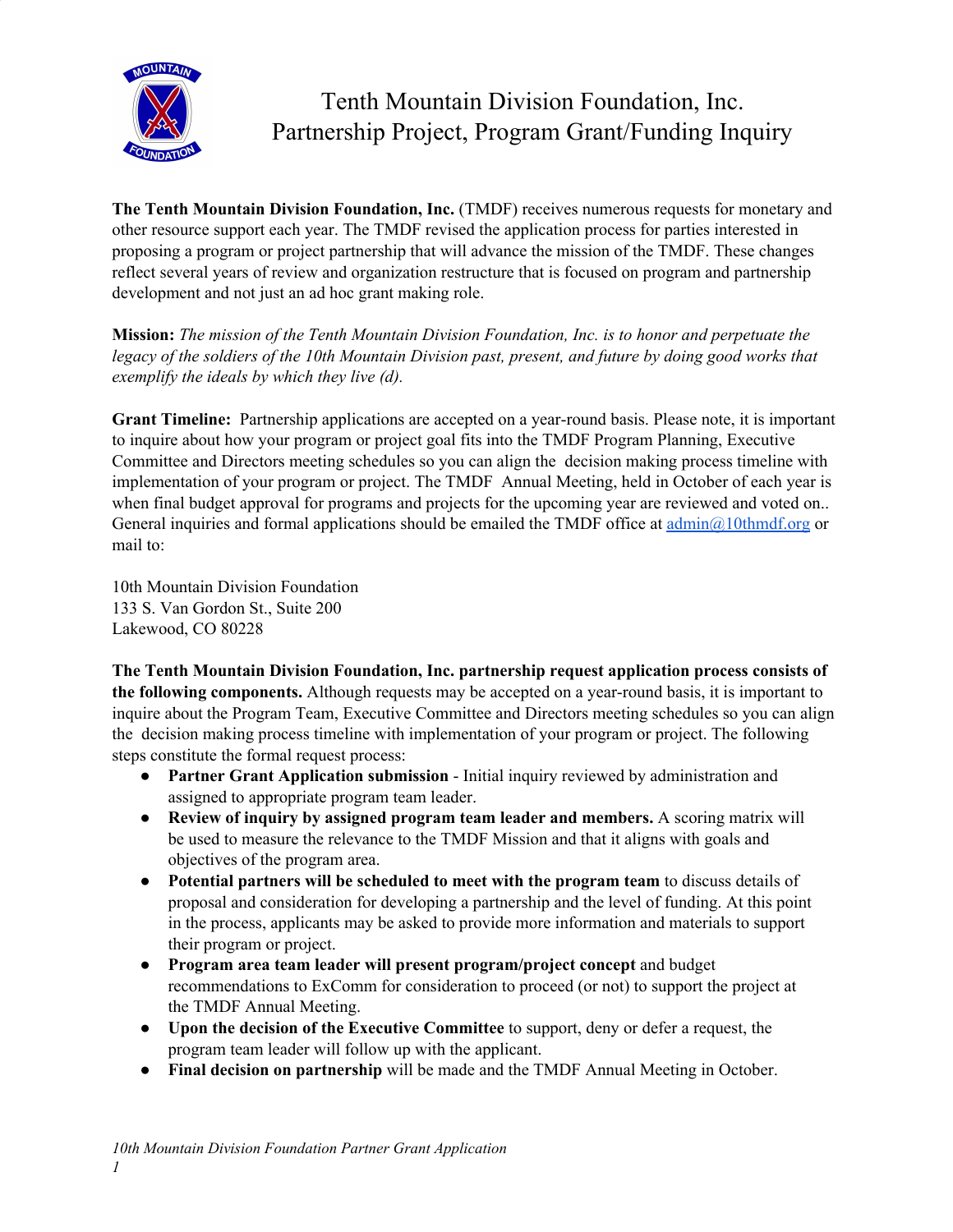

# Tenth Mountain Division Foundation, Inc. Partnership Project, Program Grant/Funding Inquiry

**The Tenth Mountain Division Foundation, Inc.** (TMDF) receives numerous requests for monetary and other resource support each year. The TMDF revised the application process for parties interested in proposing a program or project partnership that will advance the mission of the TMDF. These changes reflect several years of review and organization restructure that is focused on program and partnership development and not just an ad hoc grant making role.

**Mission:** *The mission of the Tenth Mountain Division Foundation, Inc. is to honor and perpetuate the* legacy of the soldiers of the 10th Mountain Division past, present, and future by doing good works that *exemplify the ideals by which they live (d).*

**Grant Timeline:** Partnership applications are accepted on a year-round basis. Please note, it is important to inquire about how your program or project goal fits into the TMDF Program Planning, Executive Committee and Directors meeting schedules so you can align the decision making process timeline with implementation of your program or project. The TMDF Annual Meeting, held in October of each year is when final budget approval for programs and projects for the upcoming year are reviewed and voted on.. General inquiries and formal applications should be emailed the TMDF office at  $\text{admin}(Q_1)$ 0thmdf.org or mail to:

10th Mountain Division Foundation 133 S. Van Gordon St., Suite 200 Lakewood, CO 80228

**The Tenth Mountain Division Foundation, Inc. partnership request application process consists of the following components.** Although requests may be accepted on a year-round basis, it is important to inquire about the Program Team, Executive Committee and Directors meeting schedules so you can align the decision making process timeline with implementation of your program or project. The following steps constitute the formal request process:

- **Partner Grant Application submission** Initial inquiry reviewed by administration and assigned to appropriate program team leader.
- **Review of inquiry by assigned program team leader and members.** A scoring matrix will be used to measure the relevance to the TMDF Mission and that it aligns with goals and objectives of the program area.
- **Potential partners will be scheduled to meet with the program team** to discuss details of proposal and consideration for developing a partnership and the level of funding. At this point in the process, applicants may be asked to provide more information and materials to support their program or project.
- **Program area team leader will present program/project concept** and budget recommendations to ExComm for consideration to proceed (or not) to support the project at the TMDF Annual Meeting.
- **Upon the decision of the Executive Committee** to support, deny or defer a request, the program team leader will follow up with the applicant.
- **Final decision on partnership** will be made and the TMDF Annual Meeting in October.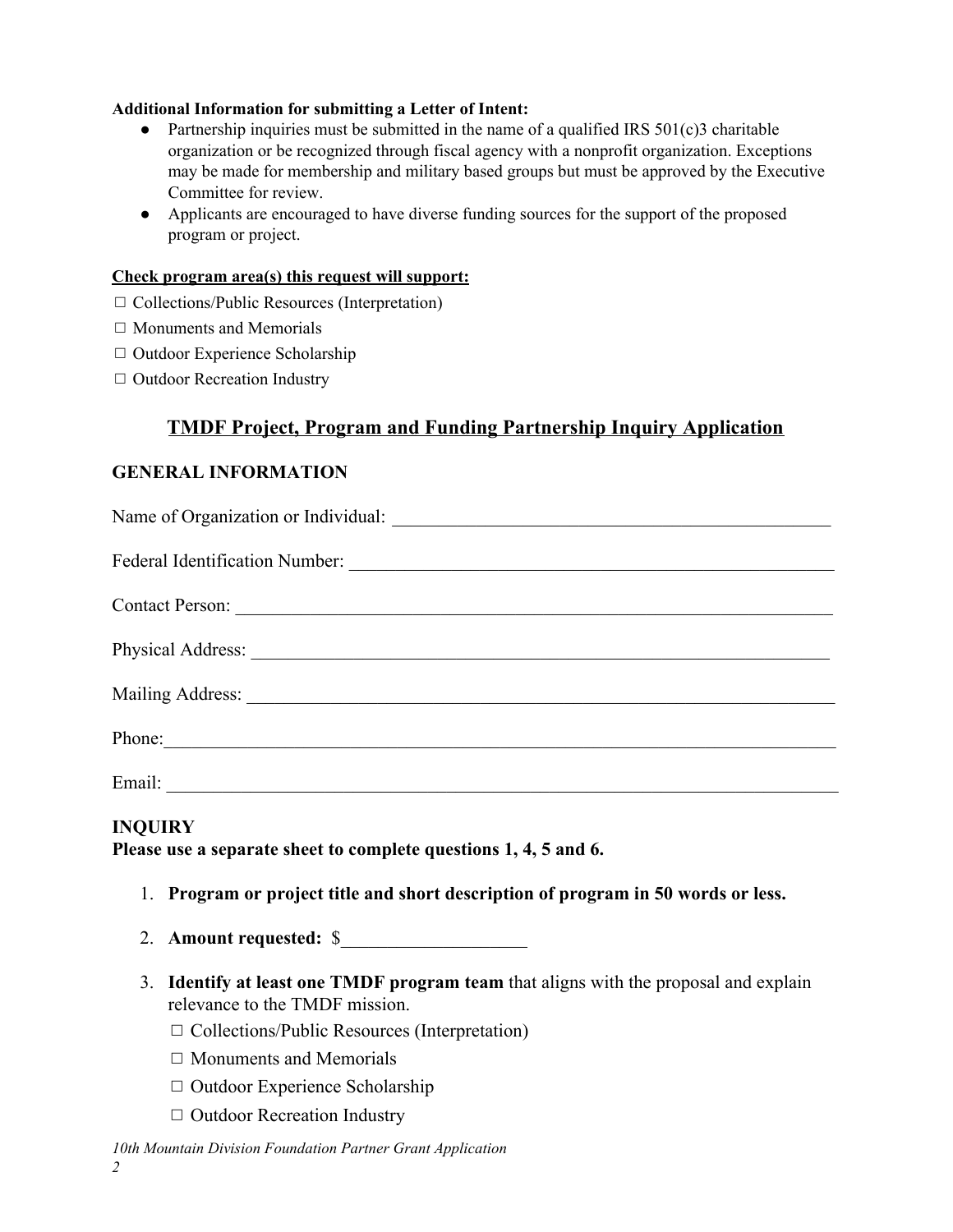## **Additional Information for submitting a Letter of Intent:**

- Partnership inquiries must be submitted in the name of a qualified IRS  $501(c)$ 3 charitable organization or be recognized through fiscal agency with a nonprofit organization. Exceptions may be made for membership and military based groups but must be approved by the Executive Committee for review.
- Applicants are encouraged to have diverse funding sources for the support of the proposed program or project.

### **Check program area(s) this request will support:**

- ◻ Collections/Public Resources (Interpretation)
- $\Box$  Monuments and Memorials
- ◻ Outdoor Experience Scholarship
- □ Outdoor Recreation Industry

# **TMDF Project, Program and Funding Partnership Inquiry Application**

## **GENERAL INFORMATION**

| Contact Person: |  |  |  |  |  |
|-----------------|--|--|--|--|--|
|                 |  |  |  |  |  |
|                 |  |  |  |  |  |
| Phone:          |  |  |  |  |  |
|                 |  |  |  |  |  |

## **INQUIRY**

**Please use a separate sheet to complete questions 1, 4, 5 and 6.**

- 1. **Program or project title and short description of program in 50 words or less.**
- 2. **Amount requested:** \$\_\_\_\_\_\_\_\_\_\_\_\_\_\_\_\_\_\_\_\_
- 3. **Identify at least one TMDF program team** that aligns with the proposal and explain relevance to the TMDF mission.
	- ◻ Collections/Public Resources (Interpretation)
	- $\Box$  Monuments and Memorials
	- ◻ Outdoor Experience Scholarship
	- ◻ Outdoor Recreation Industry

#### *10th Mountain Division Foundation Partner Grant Application*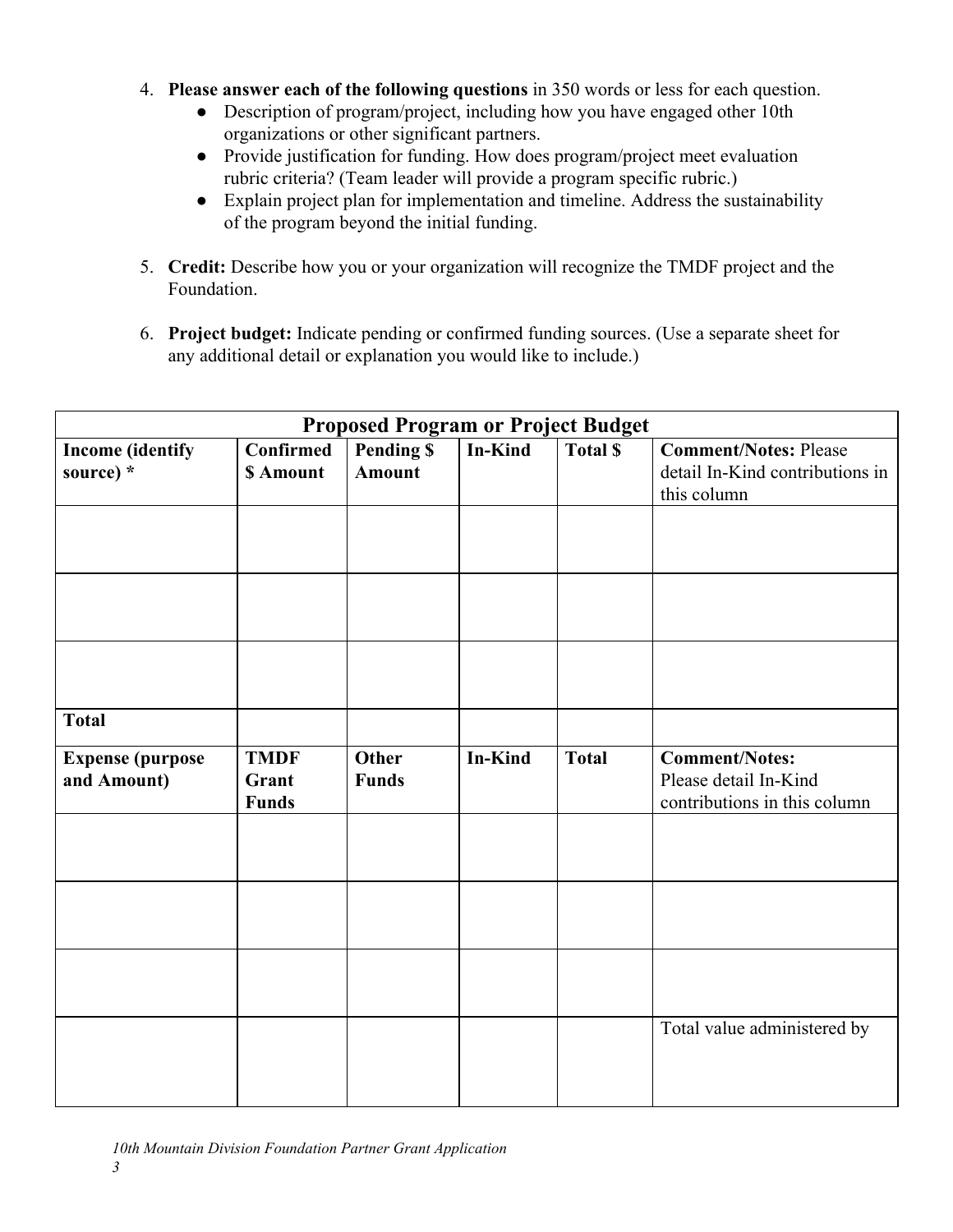- 4. **Please answer each of the following questions** in 350 words or less for each question.
	- Description of program/project, including how you have engaged other 10th organizations or other significant partners.
	- Provide justification for funding. How does program/project meet evaluation rubric criteria? (Team leader will provide a program specific rubric.)
	- Explain project plan for implementation and timeline. Address the sustainability of the program beyond the initial funding.
- 5. **Credit:** Describe how you or your organization will recognize the TMDF project and the Foundation.
- 6. **Project budget:** Indicate pending or confirmed funding sources. (Use a separate sheet for any additional detail or explanation you would like to include.)

| <b>Proposed Program or Project Budget</b> |                  |                   |                |                |                                 |  |
|-------------------------------------------|------------------|-------------------|----------------|----------------|---------------------------------|--|
| <b>Income</b> (identify                   | <b>Confirmed</b> | <b>Pending \$</b> | <b>In-Kind</b> | <b>Total S</b> | <b>Comment/Notes: Please</b>    |  |
| source) *                                 | \$ Amount        | <b>Amount</b>     |                |                | detail In-Kind contributions in |  |
|                                           |                  |                   |                |                | this column                     |  |
|                                           |                  |                   |                |                |                                 |  |
|                                           |                  |                   |                |                |                                 |  |
|                                           |                  |                   |                |                |                                 |  |
|                                           |                  |                   |                |                |                                 |  |
|                                           |                  |                   |                |                |                                 |  |
|                                           |                  |                   |                |                |                                 |  |
|                                           |                  |                   |                |                |                                 |  |
|                                           |                  |                   |                |                |                                 |  |
| <b>Total</b>                              |                  |                   |                |                |                                 |  |
|                                           |                  |                   |                |                |                                 |  |
| <b>Expense</b> (purpose                   | <b>TMDF</b>      | <b>Other</b>      | <b>In-Kind</b> | <b>Total</b>   | <b>Comment/Notes:</b>           |  |
| and Amount)                               | Grant            | <b>Funds</b>      |                |                | Please detail In-Kind           |  |
|                                           | <b>Funds</b>     |                   |                |                | contributions in this column    |  |
|                                           |                  |                   |                |                |                                 |  |
|                                           |                  |                   |                |                |                                 |  |
|                                           |                  |                   |                |                |                                 |  |
|                                           |                  |                   |                |                |                                 |  |
|                                           |                  |                   |                |                |                                 |  |
|                                           |                  |                   |                |                |                                 |  |
|                                           |                  |                   |                |                |                                 |  |
|                                           |                  |                   |                |                |                                 |  |
|                                           |                  |                   |                |                | Total value administered by     |  |
|                                           |                  |                   |                |                |                                 |  |
|                                           |                  |                   |                |                |                                 |  |
|                                           |                  |                   |                |                |                                 |  |